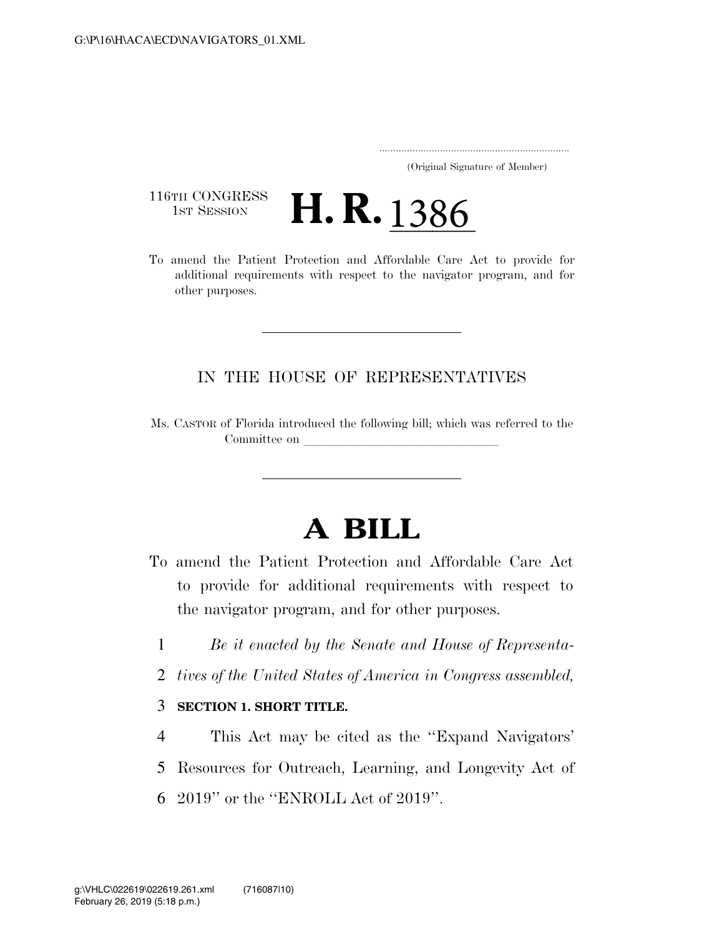..................................................................... (Original Signature of Member)

116TH CONGRESS<br>1st Session

116TH CONGRESS<br>To amend the Patient Protection and Affordable Care Act to provide for additional requirements with respect to the navigator program, and for other purposes.

## IN THE HOUSE OF REPRESENTATIVES

Ms. CASTOR of Florida introduced the following bill; which was referred to the Committee on

## **A BILL**

- To amend the Patient Protection and Affordable Care Act to provide for additional requirements with respect to the navigator program, and for other purposes.
	- 1 *Be it enacted by the Senate and House of Representa-*
	- 2 *tives of the United States of America in Congress assembled,*

## 3 **SECTION 1. SHORT TITLE.**

4 This Act may be cited as the ''Expand Navigators'

- 5 Resources for Outreach, Learning, and Longevity Act of
- 6 2019'' or the ''ENROLL Act of 2019''.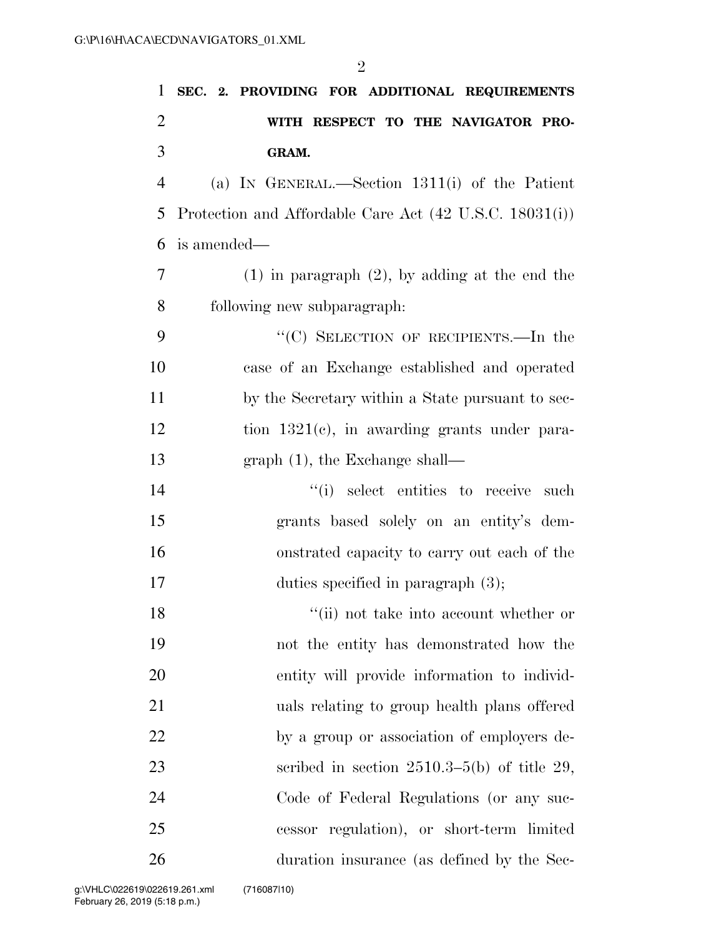| 1      | SEC. 2. PROVIDING FOR ADDITIONAL REQUIREMENTS           |
|--------|---------------------------------------------------------|
| 2      | WITH RESPECT TO THE NAVIGATOR PRO-                      |
| 3      | GRAM.                                                   |
| 4      | (a) IN GENERAL.—Section $1311(i)$ of the Patient        |
| 5      | Protection and Affordable Care Act (42 U.S.C. 18031(i)) |
| 6      | is amended—                                             |
| 7      | $(1)$ in paragraph $(2)$ , by adding at the end the     |
| 8      | following new subparagraph:                             |
| 9      | "(C) SELECTION OF RECIPIENTS.—In the                    |
| 10     | case of an Exchange established and operated            |
| 11     | by the Secretary within a State pursuant to sec-        |
| 12     | tion $1321(e)$ , in awarding grants under para-         |
| 13     | $graph(1)$ , the Exchange shall—                        |
| 14     | "(i) select entities to receive such                    |
| 15     | grants based solely on an entity's dem-                 |
| 16     | onstrated capacity to carry out each of the             |
| 17     | duties specified in paragraph (3);                      |
| 18     | "(ii) not take into account whether or                  |
| 19     | not the entity has demonstrated how the                 |
| $20\,$ | entity will provide information to individ-             |
| 21     | uals relating to group health plans offered             |
| 22     | by a group or association of employers de-              |
| 23     | scribed in section $2510.3-5(b)$ of title 29,           |
| 24     | Code of Federal Regulations (or any suc-                |
| 25     | cessor regulation), or short-term limited               |
| 26     | duration insurance (as defined by the Sec-              |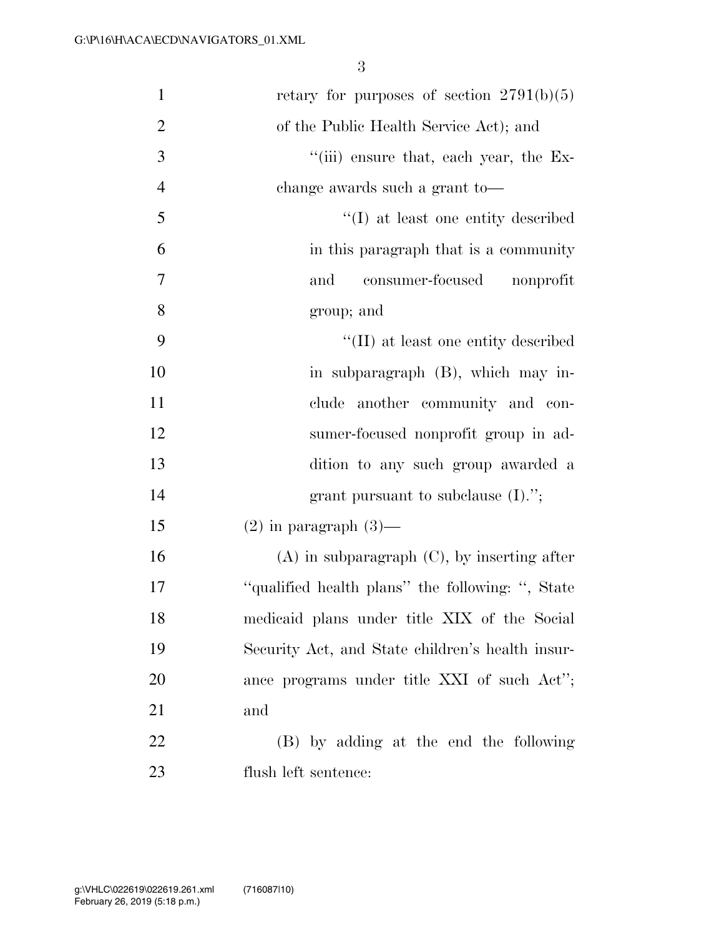| $\mathbf{1}$   | retary for purposes of section $2791(b)(5)$      |
|----------------|--------------------------------------------------|
| $\overline{2}$ | of the Public Health Service Act); and           |
| 3              | "(iii) ensure that, each year, the Ex-           |
| $\overline{4}$ | change awards such a grant to-                   |
| 5              | "(I) at least one entity described               |
| 6              | in this paragraph that is a community            |
| 7              | consumer-focused<br>and<br>nonprofit             |
| 8              | group; and                                       |
| 9              | "(II) at least one entity described              |
| 10             | in subparagraph (B), which may in-               |
| 11             | clude another community and con-                 |
| 12             | sumer-focused nonprofit group in ad-             |
| 13             | dition to any such group awarded a               |
| 14             | grant pursuant to subclause $(I).$ ";            |
| 15             | $(2)$ in paragraph $(3)$ —                       |
| 16             | $(A)$ in subparagraph $(C)$ , by inserting after |
| 17             | "qualified health plans" the following: ", State |
| 18             | medicaid plans under title XIX of the Social     |
| 19             | Security Act, and State children's health insur- |
| 20             | ance programs under title XXI of such Act";      |
| 21             | and                                              |
| 22             | (B) by adding at the end the following           |
| 23             | flush left sentence:                             |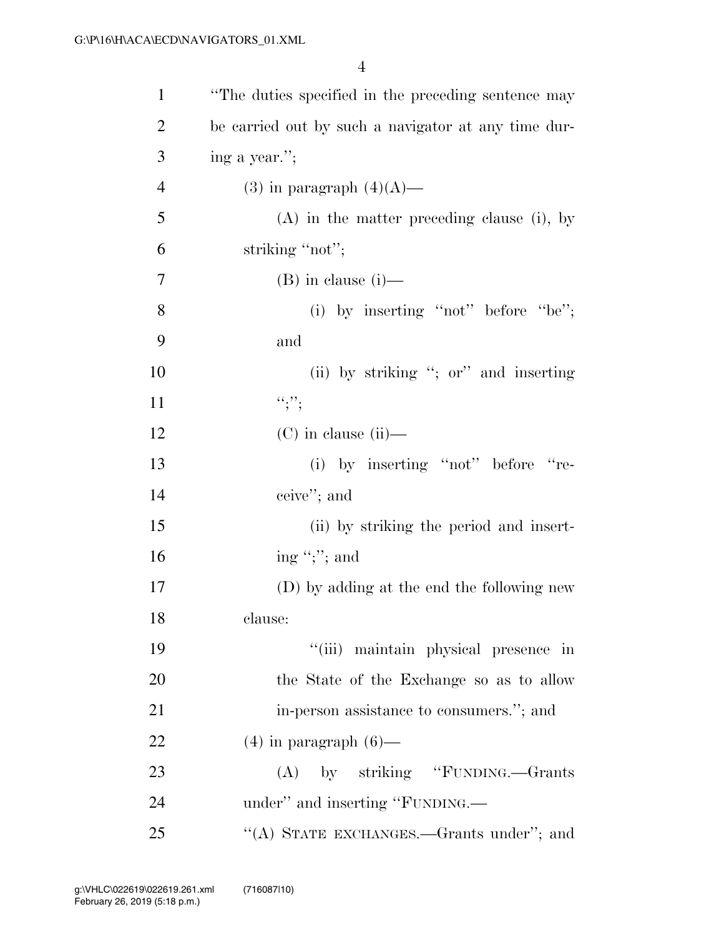| $\mathbf{1}$   | "The duties specified in the preceding sentence may |
|----------------|-----------------------------------------------------|
| $\overline{2}$ | be carried out by such a navigator at any time dur- |
| 3              | ing a year.";                                       |
| $\overline{4}$ | $(3)$ in paragraph $(4)(A)$ —                       |
| 5              | $(A)$ in the matter preceding clause (i), by        |
| 6              | striking "not";                                     |
| 7              | $(B)$ in clause $(i)$ —                             |
| 8              | (i) by inserting "not" before "be";                 |
| 9              | and                                                 |
| 10             | (ii) by striking "; or" and inserting               |
| 11             | ``;                                                 |
| 12             | $(C)$ in clause (ii)—                               |
| 13             | (i) by inserting "not" before "re-                  |
| 14             | ceive"; and                                         |
| 15             | (ii) by striking the period and insert-             |
| 16             | ing ";"; and                                        |
| 17             | (D) by adding at the end the following new          |
| 18             | clause:                                             |
| 19             | "(iii) maintain physical presence in                |
| 20             | the State of the Exchange so as to allow            |
| 21             | in-person assistance to consumers."; and            |
| 22             | $(4)$ in paragraph $(6)$ —                          |
| 23             | (A) by striking "FUNDING.—Grants                    |
| 24             | under" and inserting "FUNDING.—                     |
| 25             | "(A) STATE EXCHANGES.—Grants under"; and            |